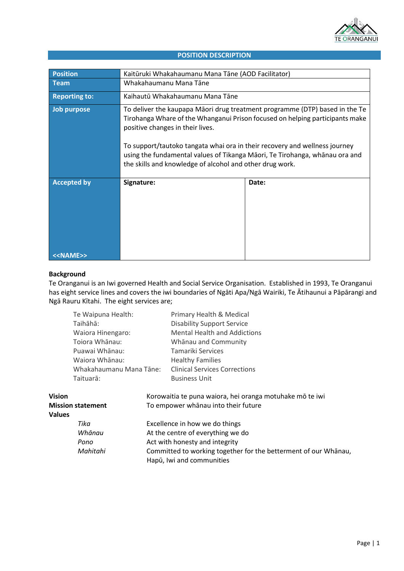

#### **POSITION DESCRIPTION**

| <b>Position</b>                           | Kaitūruki Whakahaumanu Mana Tāne (AOD Facilitator)                                                                                                                                                                                                                                                                                                                                                                       |       |  |
|-------------------------------------------|--------------------------------------------------------------------------------------------------------------------------------------------------------------------------------------------------------------------------------------------------------------------------------------------------------------------------------------------------------------------------------------------------------------------------|-------|--|
| Team                                      | Whakahaumanu Mana Tāne                                                                                                                                                                                                                                                                                                                                                                                                   |       |  |
| <b>Reporting to:</b>                      | Kaihautū Whakahaumanu Mana Tāne                                                                                                                                                                                                                                                                                                                                                                                          |       |  |
| Job purpose                               | To deliver the kaupapa Māori drug treatment programme (DTP) based in the Te<br>Tirohanga Whare of the Whanganui Prison focused on helping participants make<br>positive changes in their lives.<br>To support/tautoko tangata whai ora in their recovery and wellness journey<br>using the fundamental values of Tikanga Māori, Te Tirohanga, whānau ora and<br>the skills and knowledge of alcohol and other drug work. |       |  |
| <b>Accepted by</b><br>< <name>&gt;</name> | Signature:                                                                                                                                                                                                                                                                                                                                                                                                               | Date: |  |

#### **Background**

Te Oranganui is an Iwi governed Health and Social Service Organisation. Established in 1993, Te Oranganui has eight service lines and covers the iwi boundaries of Ngāti Apa/Ngā Wairiki, Te Ātihaunui a Pāpārangi and Ngā Rauru Kītahi. The eight services are;

| Te Waipuna Health:                                                                                 |                                             |                                                                 | Primary Health & Medical                                                                                                                            |  |
|----------------------------------------------------------------------------------------------------|---------------------------------------------|-----------------------------------------------------------------|-----------------------------------------------------------------------------------------------------------------------------------------------------|--|
|                                                                                                    | Taihāhā:                                    |                                                                 | <b>Disability Support Service</b>                                                                                                                   |  |
| Waiora Hinengaro:<br>Toiora Whānau:<br>Puawai Whānau:<br>Waiora Whānau:<br>Whakahaumanu Mana Tāne: |                                             |                                                                 | <b>Mental Health and Addictions</b><br>Whānau and Community<br>Tamariki Services<br><b>Healthy Families</b><br><b>Clinical Services Corrections</b> |  |
|                                                                                                    |                                             |                                                                 |                                                                                                                                                     |  |
|                                                                                                    |                                             |                                                                 |                                                                                                                                                     |  |
|                                                                                                    |                                             |                                                                 |                                                                                                                                                     |  |
|                                                                                                    |                                             |                                                                 |                                                                                                                                                     |  |
|                                                                                                    | Taituarā:                                   |                                                                 | <b>Business Unit</b>                                                                                                                                |  |
| <b>Vision</b>                                                                                      |                                             |                                                                 | Korowaitia te puna waiora, hei oranga motuhake mō te iwi                                                                                            |  |
| <b>Mission statement</b>                                                                           |                                             |                                                                 | To empower whanau into their future                                                                                                                 |  |
| <b>Values</b>                                                                                      |                                             |                                                                 |                                                                                                                                                     |  |
| Tika                                                                                               |                                             | Excellence in how we do things                                  |                                                                                                                                                     |  |
|                                                                                                    | Whānau<br>At the centre of everything we do |                                                                 |                                                                                                                                                     |  |
|                                                                                                    | Pono                                        | Act with honesty and integrity                                  |                                                                                                                                                     |  |
|                                                                                                    | Mahitahi                                    | Committed to working together for the betterment of our Whanau, |                                                                                                                                                     |  |
|                                                                                                    |                                             |                                                                 | Hapū, Iwi and communities                                                                                                                           |  |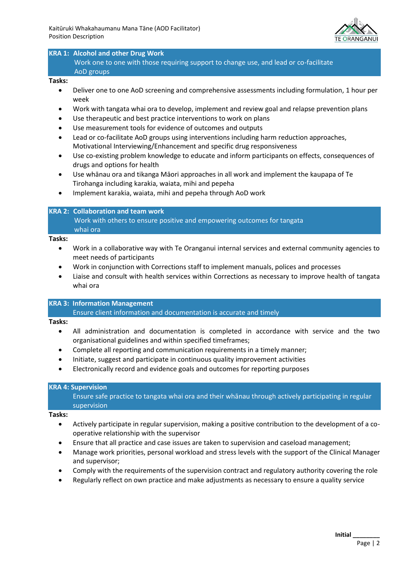

# **KRA 1: Alcohol and other Drug Work**

Work one to one with those requiring support to change use, and lead or co-facilitate AoD groups

#### **Tasks:**

- Deliver one to one AoD screening and comprehensive assessments including formulation, 1 hour per week
- Work with tangata whai ora to develop, implement and review goal and relapse prevention plans
- Use therapeutic and best practice interventions to work on plans
- Use measurement tools for evidence of outcomes and outputs
- Lead or co-facilitate AoD groups using interventions including harm reduction approaches, Motivational Interviewing/Enhancement and specific drug responsiveness
- Use co-existing problem knowledge to educate and inform participants on effects, consequences of drugs and options for health
- Use whānau ora and tikanga Māori approaches in all work and implement the kaupapa of Te Tirohanga including karakia, waiata, mihi and pepeha
- Implement karakia, waiata, mihi and pepeha through AoD work

## **KRA 2: Collaboration and team work**

Work with others to ensure positive and empowering outcomes for tangata whai ora

#### **Tasks:**

- Work in a collaborative way with Te Oranganui internal services and external community agencies to meet needs of participants
- Work in conjunction with Corrections staff to implement manuals, polices and processes
- Liaise and consult with health services within Corrections as necessary to improve health of tangata whai ora

# **KRA 3: Information Management**

Ensure client information and documentation is accurate and timely

#### **Tasks:**

- All administration and documentation is completed in accordance with service and the two organisational guidelines and within specified timeframes;
- Complete all reporting and communication requirements in a timely manner;
- Initiate, suggest and participate in continuous quality improvement activities
- Electronically record and evidence goals and outcomes for reporting purposes

## **KRA 4: Supervision**

Ensure safe practice to tangata whai ora and their whānau through actively participating in regular supervision

#### **Tasks:**

- Actively participate in regular supervision, making a positive contribution to the development of a cooperative relationship with the supervisor
- Ensure that all practice and case issues are taken to supervision and caseload management;
- Manage work priorities, personal workload and stress levels with the support of the Clinical Manager and supervisor;
- Comply with the requirements of the supervision contract and regulatory authority covering the role
- Regularly reflect on own practice and make adjustments as necessary to ensure a quality service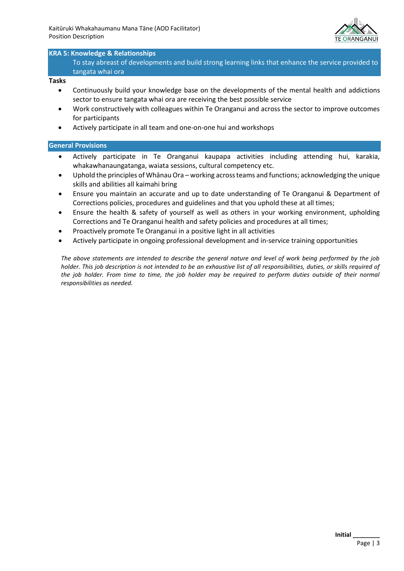

## **KRA 5: Knowledge & Relationships**

To stay abreast of developments and build strong learning links that enhance the service provided to tangata whai ora

#### **Tasks**

- Continuously build your knowledge base on the developments of the mental health and addictions sector to ensure tangata whai ora are receiving the best possible service
- Work constructively with colleagues within Te Oranganui and across the sector to improve outcomes for participants
- Actively participate in all team and one-on-one hui and workshops

## **General Provisions**

- Actively participate in Te Oranganui kaupapa activities including attending hui, karakia, whakawhanaungatanga, waiata sessions, cultural competency etc.
- Uphold the principles of Whānau Ora working across teams and functions; acknowledging the unique skills and abilities all kaimahi bring
- Ensure you maintain an accurate and up to date understanding of Te Oranganui & Department of Corrections policies, procedures and guidelines and that you uphold these at all times;
- Ensure the health & safety of yourself as well as others in your working environment, upholding Corrections and Te Oranganui health and safety policies and procedures at all times;
- Proactively promote Te Oranganui in a positive light in all activities
- Actively participate in ongoing professional development and in-service training opportunities

*The above statements are intended to describe the general nature and level of work being performed by the job holder. This job description is not intended to be an exhaustive list of all responsibilities, duties, or skills required of the job holder. From time to time, the job holder may be required to perform duties outside of their normal responsibilities as needed.*